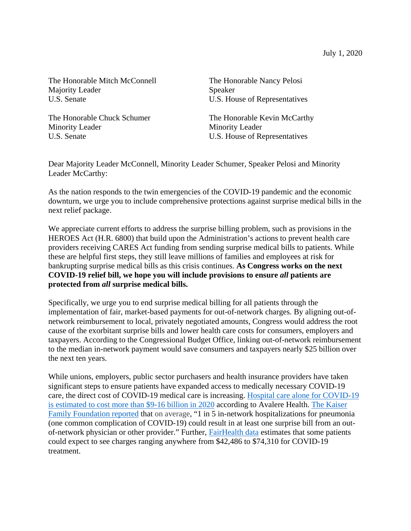July 1, 2020

The Honorable Mitch McConnell Majority Leader U.S. Senate

The Honorable Chuck Schumer Minority Leader U.S. Senate

The Honorable Nancy Pelosi Speaker U.S. House of Representatives

The Honorable Kevin McCarthy Minority Leader U.S. House of Representatives

Dear Majority Leader McConnell, Minority Leader Schumer, Speaker Pelosi and Minority Leader McCarthy:

As the nation responds to the twin emergencies of the COVID-19 pandemic and the economic downturn, we urge you to include comprehensive protections against surprise medical bills in the next relief package.

We appreciate current efforts to address the surprise billing problem, such as provisions in the HEROES Act (H.R. 6800) that build upon the Administration's actions to prevent health care providers receiving CARES Act funding from sending surprise medical bills to patients. While these are helpful first steps, they still leave millions of families and employees at risk for bankrupting surprise medical bills as this crisis continues. **As Congress works on the next COVID-19 relief bill, we hope you will include provisions to ensure** *all* **patients are protected from** *all* **surprise medical bills.**

Specifically, we urge you to end surprise medical billing for all patients through the implementation of fair, market-based payments for out-of-network charges. By aligning out-ofnetwork reimbursement to local, privately negotiated amounts, Congress would address the root cause of the exorbitant surprise bills and lower health care costs for consumers, employers and taxpayers. According to the Congressional Budget Office*,* linking out-of-network reimbursement to the median in-network payment would save consumers and taxpayers nearly \$25 billion over the next ten years.

While unions, employers, public sector purchasers and health insurance providers have taken significant steps to ensure patients have expanded access to medically necessary COVID-19 care, the direct cost of COVID-19 medical care is increasing. [Hospital care alone for COVID-19](https://avalere.com/insights/covid-19-hospitalizations-projected-to-cost-up-to-17b-in-us-in-2020)  [is estimated to cost more than \\$9-16 billion in 2020](https://avalere.com/insights/covid-19-hospitalizations-projected-to-cost-up-to-17b-in-us-in-2020) according to Avalere Health. [The Kaiser](https://www.kff.org/coronavirus-covid-19/issue-brief/five-things-to-know-about-the-cost-of-covid-19-testing-and-treatment/)  [Family Foundation reported](https://www.kff.org/coronavirus-covid-19/issue-brief/five-things-to-know-about-the-cost-of-covid-19-testing-and-treatment/) that on average, "1 in 5 in-network hospitalizations for pneumonia (one common complication of COVID-19) could result in at least one surprise bill from an outof-network physician or other provider." Further, [FairHealth data](https://www.fairhealth.org/article/fair-health-releases-brief-on-covid-19) estimates that some patients could expect to see charges ranging anywhere from \$42,486 to \$74,310 for COVID-19 treatment.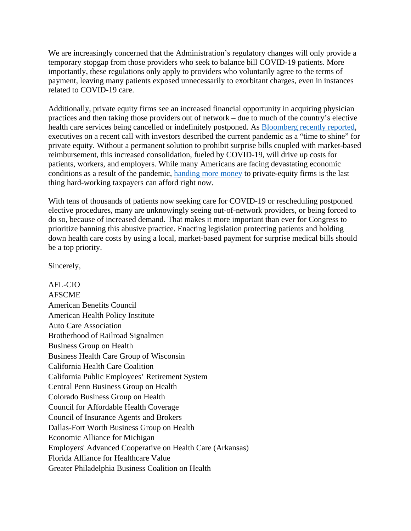We are increasingly concerned that the Administration's regulatory changes will only provide a temporary stopgap from those providers who seek to balance bill COVID-19 patients. More importantly, these regulations only apply to providers who voluntarily agree to the terms of payment, leaving many patients exposed unnecessarily to exorbitant charges, even in instances related to COVID-19 care.

Additionally, private equity firms see an increased financial opportunity in acquiring physician practices and then taking those providers out of network – due to much of the country's elective health care services being cancelled or indefinitely postponed. As [Bloomberg recently reported,](https://www.bloomberg.com/news/features/2020-06-02/private-equity-lands-billion-dollar-backdoor-hospital-bailout) executives on a recent call with investors described the current pandemic as a "time to shine" for private equity. Without a permanent solution to prohibit surprise bills coupled with market-based reimbursement, this increased consolidation, fueled by COVID-19, will drive up costs for patients, workers, and employers. While many Americans are facing devastating economic conditions as a result of the pandemic, [handing more money](https://www.propublica.org/article/how-rich-investors-not-doctors-profit-from-marking-up-er-bills) to private-equity firms is the last thing hard-working taxpayers can afford right now.

With tens of thousands of patients now seeking care for COVID-19 or rescheduling postponed elective procedures, many are unknowingly seeing out-of-network providers, or being forced to do so, because of increased demand. That makes it more important than ever for Congress to prioritize banning this abusive practice. Enacting legislation protecting patients and holding down health care costs by using a local, market-based payment for surprise medical bills should be a top priority.

Sincerely,

AFL-CIO AFSCME American Benefits Council American Health Policy Institute Auto Care Association Brotherhood of Railroad Signalmen Business Group on Health Business Health Care Group of Wisconsin California Health Care Coalition California Public Employees' Retirement System Central Penn Business Group on Health Colorado Business Group on Health Council for Affordable Health Coverage Council of Insurance Agents and Brokers Dallas-Fort Worth Business Group on Health Economic Alliance for Michigan Employers' Advanced Cooperative on Health Care (Arkansas) Florida Alliance for Healthcare Value Greater Philadelphia Business Coalition on Health